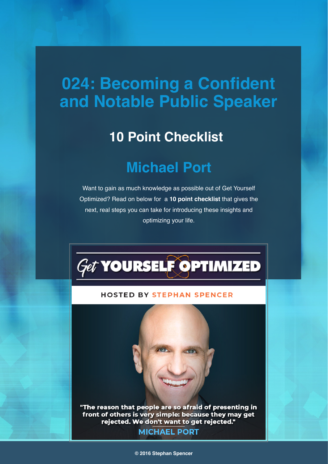# **024: Becoming a Confident and Notable Public Speaker**

### **10 Point Checklist**

## **Michael Port**

Want to gain as much knowledge as possible out of Get Yourself Optimized? Read on below for a **10 point checklist** that gives the next, real steps you can take for introducing these insights and optimizing your life.



#### **HOSTED BY STEPHAN SPENCER**

"The reason that people are so afraid of presenting in front of others is very simple: because they may get rejected. We don't want to get rejected." **MICHAEL PORT**